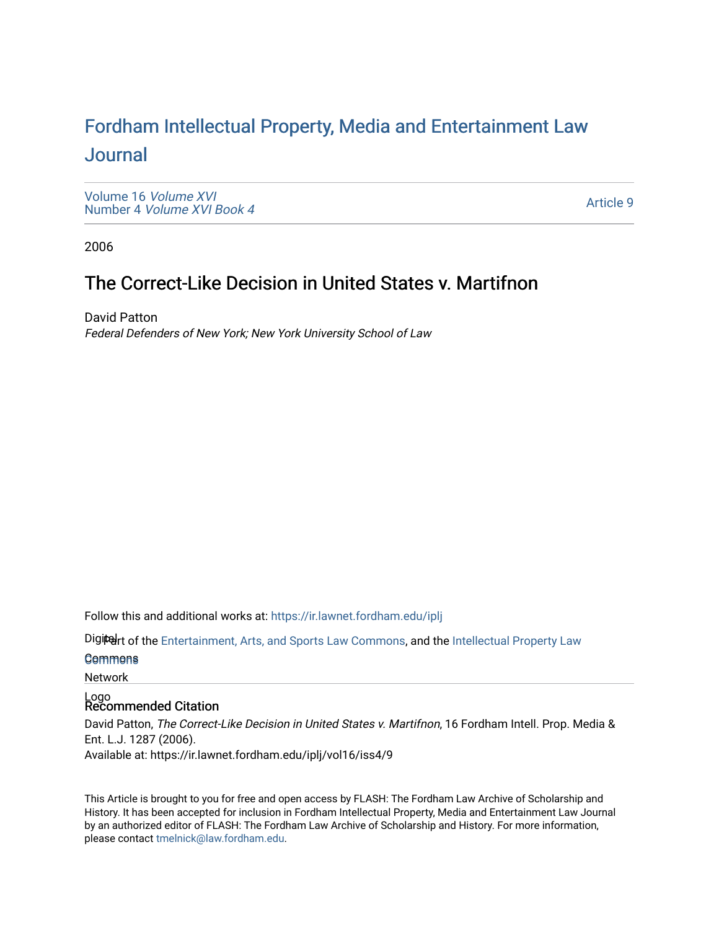## For[dham Intellectual Property, Media and Enter](https://ir.lawnet.fordham.edu/iplj)tainment Law [Journal](https://ir.lawnet.fordham.edu/iplj)

[Volume 16](https://ir.lawnet.fordham.edu/iplj/vol16) Volume XVI Number 4 [Volume XVI Book 4](https://ir.lawnet.fordham.edu/iplj/vol16/iss4)

[Article 9](https://ir.lawnet.fordham.edu/iplj/vol16/iss4/9) 

2006

### The Correct-Like Decision in United States v. Martifnon

David Patton Federal Defenders of New York; New York University School of Law

Follow this and additional works at: [https://ir.lawnet.fordham.edu/iplj](https://ir.lawnet.fordham.edu/iplj?utm_source=ir.lawnet.fordham.edu%2Fiplj%2Fvol16%2Fiss4%2F9&utm_medium=PDF&utm_campaign=PDFCoverPages) 

Digitelrt of the [Entertainment, Arts, and Sports Law Commons](http://network.bepress.com/hgg/discipline/893?utm_source=ir.lawnet.fordham.edu%2Fiplj%2Fvol16%2Fiss4%2F9&utm_medium=PDF&utm_campaign=PDFCoverPages), and the [Intellectual Property Law](http://network.bepress.com/hgg/discipline/896?utm_source=ir.lawnet.fordham.edu%2Fiplj%2Fvol16%2Fiss4%2F9&utm_medium=PDF&utm_campaign=PDFCoverPages)

### Commons [Commons](http://network.bepress.com/hgg/discipline/896?utm_source=ir.lawnet.fordham.edu%2Fiplj%2Fvol16%2Fiss4%2F9&utm_medium=PDF&utm_campaign=PDFCoverPages)

Network

## Logo Recommended Citation

David Patton, The Correct-Like Decision in United States v. Martifnon, 16 Fordham Intell. Prop. Media & Ent. L.J. 1287 (2006). Available at: https://ir.lawnet.fordham.edu/iplj/vol16/iss4/9

This Article is brought to you for free and open access by FLASH: The Fordham Law Archive of Scholarship and History. It has been accepted for inclusion in Fordham Intellectual Property, Media and Entertainment Law Journal by an authorized editor of FLASH: The Fordham Law Archive of Scholarship and History. For more information, please contact [tmelnick@law.fordham.edu](mailto:tmelnick@law.fordham.edu).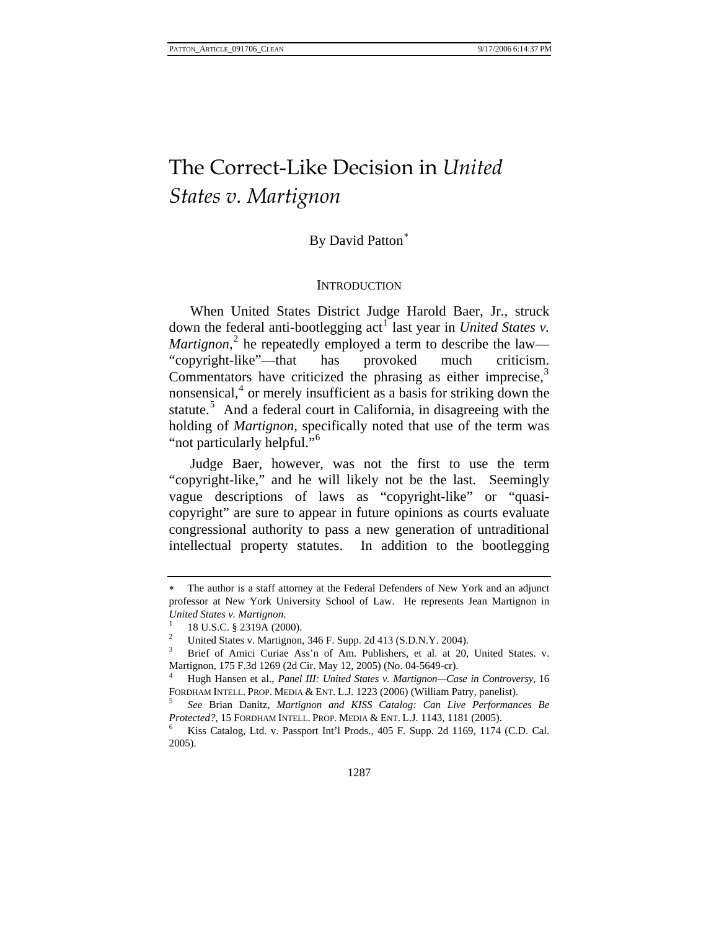# The Correct-Like Decision in *United States v. Martignon*

#### By David Patton<sup>\*</sup>

#### **INTRODUCTION**

When United States District Judge Harold Baer, Jr., struck down the federal anti-bootlegging act<sup>[1](#page-1-1)</sup> last year in *United States v*. Martignon,<sup>[2](#page-1-2)</sup> he repeatedly employed a term to describe the law— "copyright-like"—that has provoked much criticism. Commentators have criticized the phrasing as either imprecise, $3$ nonsensical,<sup>[4](#page-1-4)</sup> or merely insufficient as a basis for striking down the statute.<sup>[5](#page-1-5)</sup> And a federal court in California, in disagreeing with the holding of *Martignon*, specifically noted that use of the term was "not particularly helpful."[6](#page-1-6)

Judge Baer, however, was not the first to use the term "copyright-like," and he will likely not be the last. Seemingly vague descriptions of laws as "copyright-like" or "quasicopyright" are sure to appear in future opinions as courts evaluate congressional authority to pass a new generation of untraditional intellectual property statutes. In addition to the bootlegging

<span id="page-1-0"></span>The author is a staff attorney at the Federal Defenders of New York and an adjunct professor at New York University School of Law. He represents Jean Martignon in *United States v. Martignon.* 

 <sup>18</sup> U.S.C. § 2319A (2000).

<span id="page-1-1"></span><sup>2</sup> United States v. Martignon, 346 F. Supp. 2d 413 (S.D.N.Y. 2004). 3

<span id="page-1-3"></span><span id="page-1-2"></span>Brief of Amici Curiae Ass'n of Am. Publishers, et al. at 20, United States. v. Martignon, 175 F.3d 1269 (2d Cir. May 12, 2005) (No. 04-5649-cr).

<span id="page-1-4"></span><sup>4</sup> Hugh Hansen et al., *Panel III: United States v. Martignon—Case in Controversy*, 16 FORDHAM INTELL. PROP. MEDIA & ENT. L.J. 1223 (2006) (William Patry, panelist).

<span id="page-1-5"></span>*See* Brian Danitz, *Martignon and KISS Catalog: Can Live Performances Be Protected?*, 15 FORDHAM INTELL. PROP. MEDIA & ENT. L.J. 1143, 1181 (2005). 6

<span id="page-1-6"></span>Kiss Catalog, Ltd. v. Passport Int'l Prods., 405 F. Supp. 2d 1169, 1174 (C.D. Cal. 2005).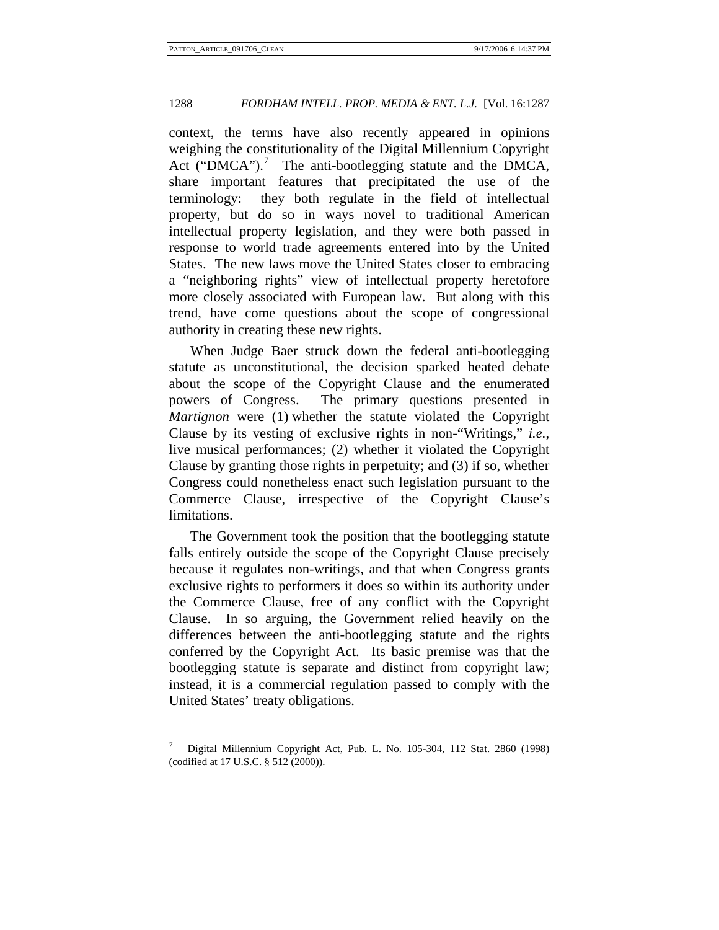context, the terms have also recently appeared in opinions weighing the constitutionality of the Digital Millennium Copyright Act ("DMCA").<sup>[7](#page-2-0)</sup> The anti-bootlegging statute and the DMCA, share important features that precipitated the use of the terminology: they both regulate in the field of intellectual property, but do so in ways novel to traditional American intellectual property legislation, and they were both passed in response to world trade agreements entered into by the United States. The new laws move the United States closer to embracing a "neighboring rights" view of intellectual property heretofore more closely associated with European law. But along with this trend, have come questions about the scope of congressional authority in creating these new rights.

When Judge Baer struck down the federal anti-bootlegging statute as unconstitutional, the decision sparked heated debate about the scope of the Copyright Clause and the enumerated powers of Congress. The primary questions presented in *Martignon* were (1) whether the statute violated the Copyright Clause by its vesting of exclusive rights in non-"Writings," *i.e.*, live musical performances; (2) whether it violated the Copyright Clause by granting those rights in perpetuity; and (3) if so, whether Congress could nonetheless enact such legislation pursuant to the Commerce Clause, irrespective of the Copyright Clause's limitations.

The Government took the position that the bootlegging statute falls entirely outside the scope of the Copyright Clause precisely because it regulates non-writings, and that when Congress grants exclusive rights to performers it does so within its authority under the Commerce Clause, free of any conflict with the Copyright Clause. In so arguing, the Government relied heavily on the differences between the anti-bootlegging statute and the rights conferred by the Copyright Act. Its basic premise was that the bootlegging statute is separate and distinct from copyright law; instead, it is a commercial regulation passed to comply with the United States' treaty obligations.

<span id="page-2-0"></span><sup>7</sup> Digital Millennium Copyright Act, Pub. L. No. 105-304, 112 Stat. 2860 (1998) (codified at 17 U.S.C. § 512 (2000)).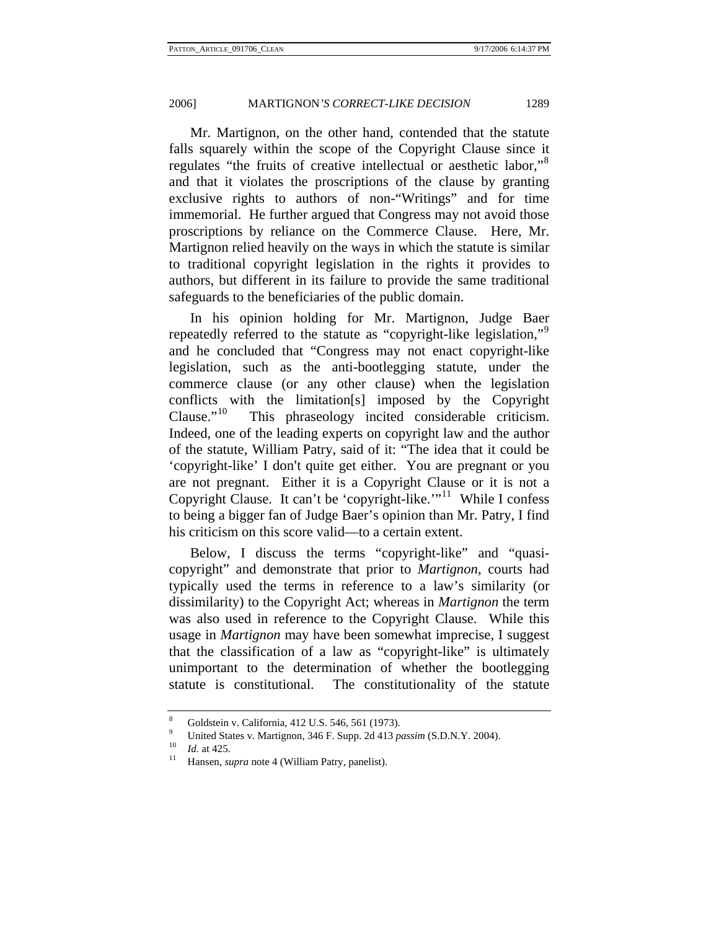Mr. Martignon, on the other hand, contended that the statute falls squarely within the scope of the Copyright Clause since it regulates "the fruits of creative intellectual or aesthetic labor,"<sup>[8](#page-3-0)</sup> and that it violates the proscriptions of the clause by granting exclusive rights to authors of non-"Writings" and for time immemorial. He further argued that Congress may not avoid those proscriptions by reliance on the Commerce Clause. Here, Mr. Martignon relied heavily on the ways in which the statute is similar to traditional copyright legislation in the rights it provides to authors, but different in its failure to provide the same traditional safeguards to the beneficiaries of the public domain.

In his opinion holding for Mr. Martignon, Judge Baer repeatedly referred to the statute as "copyright-like legislation,"<sup>[9](#page-3-1)</sup> and he concluded that "Congress may not enact copyright-like legislation, such as the anti-bootlegging statute, under the commerce clause (or any other clause) when the legislation conflicts with the limitation[s] imposed by the Copyright Clause."[10](#page-3-2) This phraseology incited considerable criticism. Indeed, one of the leading experts on copyright law and the author of the statute, William Patry, said of it: "The idea that it could be 'copyright-like' I don't quite get either. You are pregnant or you are not pregnant. Either it is a Copyright Clause or it is not a Copyright Clause. It can't be 'copyright-like.'"[11](#page-3-3) While I confess to being a bigger fan of Judge Baer's opinion than Mr. Patry, I find his criticism on this score valid—to a certain extent.

Below, I discuss the terms "copyright-like" and "quasicopyright" and demonstrate that prior to *Martignon*, courts had typically used the terms in reference to a law's similarity (or dissimilarity) to the Copyright Act; whereas in *Martignon* the term was also used in reference to the Copyright Clause. While this usage in *Martignon* may have been somewhat imprecise, I suggest that the classification of a law as "copyright-like" is ultimately unimportant to the determination of whether the bootlegging statute is constitutional. The constitutionality of the statute

<span id="page-3-0"></span><sup>8</sup> Goldstein v. California, 412 U.S. 546, 561 (1973).

<sup>9</sup> <sup>9</sup> United States v. Martignon, 346 F. Supp. 2d 413 *passim* (S.D.N.Y. 2004).<br><sup>10</sup> *Id.* at 425.<br><sup>11</sup> Hansen, *supra* note 4 (William Patry, panelist).

<span id="page-3-3"></span><span id="page-3-2"></span><span id="page-3-1"></span>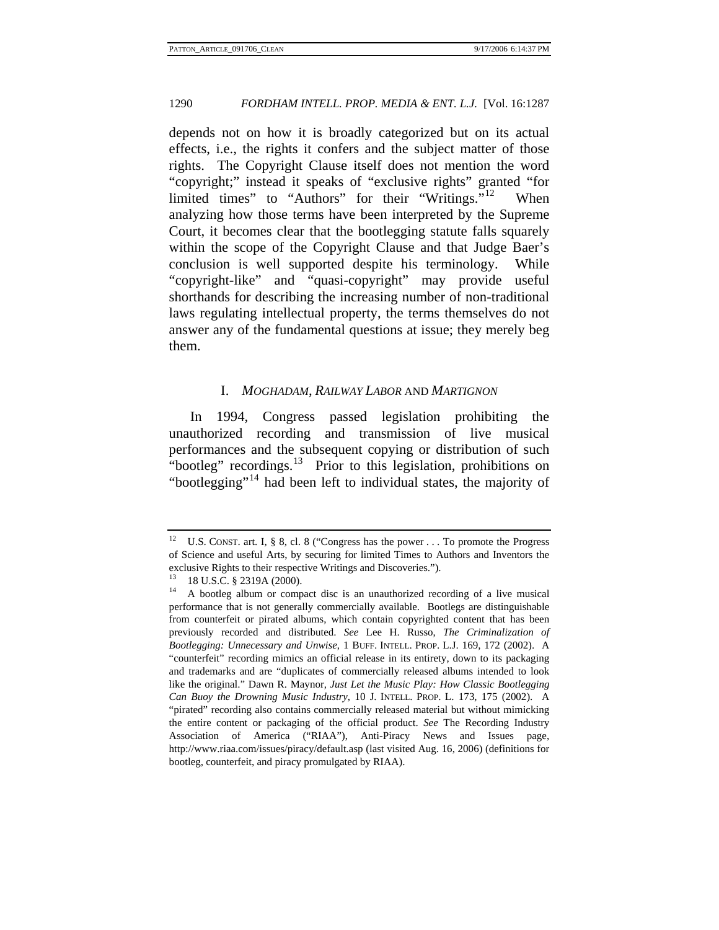depends not on how it is broadly categorized but on its actual effects, i.e., the rights it confers and the subject matter of those rights. The Copyright Clause itself does not mention the word "copyright;" instead it speaks of "exclusive rights" granted "for limited times" to "Authors" for their "Writings."<sup>[12](#page-4-0)</sup> When analyzing how those terms have been interpreted by the Supreme Court, it becomes clear that the bootlegging statute falls squarely within the scope of the Copyright Clause and that Judge Baer's conclusion is well supported despite his terminology. While "copyright-like" and "quasi-copyright" may provide useful shorthands for describing the increasing number of non-traditional laws regulating intellectual property, the terms themselves do not answer any of the fundamental questions at issue; they merely beg them.

#### I. *MOGHADAM*, *RAILWAY LABOR* AND *MARTIGNON*

In 1994, Congress passed legislation prohibiting the unauthorized recording and transmission of live musical performances and the subsequent copying or distribution of such "bootleg" recordings. $13$  Prior to this legislation, prohibitions on "bootlegging"<sup>[14](#page-4-2)</sup> had been left to individual states, the majority of

<span id="page-4-0"></span>U.S. CONST. art. I, § 8, cl. 8 ("Congress has the power . . . To promote the Progress of Science and useful Arts, by securing for limited Times to Authors and Inventors the exclusive Rights to their respective Writings and Discoveries."). 13 18 U.S.C. § 2319A (2000).

<span id="page-4-2"></span><span id="page-4-1"></span><sup>&</sup>lt;sup>14</sup> A bootleg album or compact disc is an unauthorized recording of a live musical performance that is not generally commercially available. Bootlegs are distinguishable from counterfeit or pirated albums, which contain copyrighted content that has been previously recorded and distributed. *See* Lee H. Russo, *The Criminalization of Bootlegging: Unnecessary and Unwise*, 1 BUFF. INTELL. PROP. L.J. 169, 172 (2002). A "counterfeit" recording mimics an official release in its entirety, down to its packaging and trademarks and are "duplicates of commercially released albums intended to look like the original." Dawn R. Maynor, *Just Let the Music Play: How Classic Bootlegging Can Buoy the Drowning Music Industry*, 10 J. INTELL. PROP. L. 173, 175 (2002). A "pirated" recording also contains commercially released material but without mimicking the entire content or packaging of the official product. *See* The Recording Industry Association of America ("RIAA"), Anti-Piracy News and Issues page, http://www.riaa.com/issues/piracy/default.asp (last visited Aug. 16, 2006) (definitions for bootleg, counterfeit, and piracy promulgated by RIAA).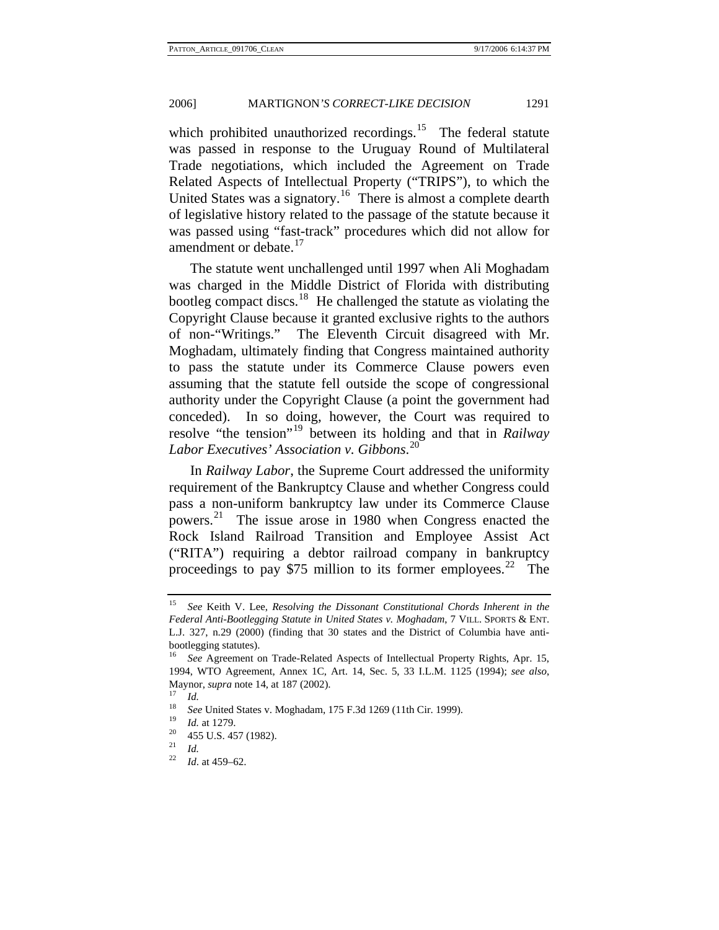which prohibited unauthorized recordings.<sup>[15](#page-5-0)</sup> The federal statute was passed in response to the Uruguay Round of Multilateral Trade negotiations, which included the Agreement on Trade Related Aspects of Intellectual Property ("TRIPS"), to which the United States was a signatory.<sup>[16](#page-5-1)</sup> There is almost a complete dearth of legislative history related to the passage of the statute because it was passed using "fast-track" procedures which did not allow for amendment or debate.<sup>[17](#page-5-2)</sup>

The statute went unchallenged until 1997 when Ali Moghadam was charged in the Middle District of Florida with distributing bootleg compact discs.[18](#page-5-3) He challenged the statute as violating the Copyright Clause because it granted exclusive rights to the authors of non-"Writings." The Eleventh Circuit disagreed with Mr. Moghadam, ultimately finding that Congress maintained authority to pass the statute under its Commerce Clause powers even assuming that the statute fell outside the scope of congressional authority under the Copyright Clause (a point the government had conceded). In so doing, however, the Court was required to resolve "the tension"[19](#page-5-4) between its holding and that in *Railway Labor Executives' Association v. Gibbons*. [20](#page-5-5)

In *Railway Labor*, the Supreme Court addressed the uniformity requirement of the Bankruptcy Clause and whether Congress could pass a non-uniform bankruptcy law under its Commerce Clause powers.<sup>[21](#page-5-6)</sup> The issue arose in 1980 when Congress enacted the Rock Island Railroad Transition and Employee Assist Act ("RITA") requiring a debtor railroad company in bankruptcy proceedings to pay \$75 million to its former employees. $22$  The

<span id="page-5-0"></span><sup>15</sup> *See* Keith V. Lee, *Resolving the Dissonant Constitutional Chords Inherent in the Federal Anti-Bootlegging Statute in United States v. Moghadam*, 7 VILL. SPORTS & ENT. L.J. 327, n.29 (2000) (finding that 30 states and the District of Columbia have antibootlegging statutes).

<span id="page-5-1"></span><sup>16</sup> *See* Agreement on Trade-Related Aspects of Intellectual Property Rights, Apr. 15, 1994, WTO Agreement, Annex 1C, Art. 14, Sec. 5, 33 I.L.M. 1125 (1994); *see also*, Maynor, *supra* note 14, at 187 (2002). 17 *Id.*

<span id="page-5-4"></span><span id="page-5-3"></span><span id="page-5-2"></span><sup>&</sup>lt;sup>18</sup> See United States v. Moghadam, 175 F.3d 1269 (11th Cir. 1999).<br><sup>19</sup> *Id.* at 1279.<br><sup>20</sup> 455 U.S. 457 (1982).

<span id="page-5-7"></span><span id="page-5-6"></span><span id="page-5-5"></span> $\frac{21}{22}$  *Id.* 

*Id.* at 459–62.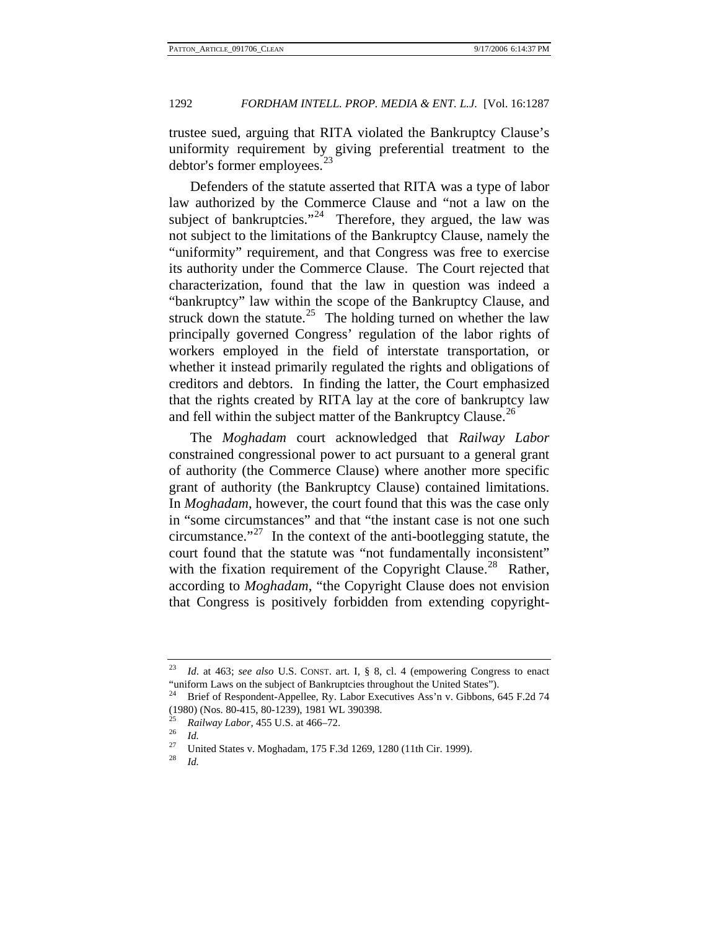trustee sued, arguing that RITA violated the Bankruptcy Clause's uniformity requirement by giving preferential treatment to the debtor's former employees. $^{23}$  $^{23}$  $^{23}$ 

Defenders of the statute asserted that RITA was a type of labor law authorized by the Commerce Clause and "not a law on the subject of bankruptcies."<sup>[24](#page-6-1)</sup> Therefore, they argued, the law was not subject to the limitations of the Bankruptcy Clause, namely the "uniformity" requirement, and that Congress was free to exercise its authority under the Commerce Clause. The Court rejected that characterization, found that the law in question was indeed a "bankruptcy" law within the scope of the Bankruptcy Clause, and struck down the statute.<sup>[25](#page-6-2)</sup> The holding turned on whether the law principally governed Congress' regulation of the labor rights of workers employed in the field of interstate transportation, or whether it instead primarily regulated the rights and obligations of creditors and debtors. In finding the latter, the Court emphasized that the rights created by RITA lay at the core of bankruptcy law and fell within the subject matter of the Bankruptcy Clause.<sup>[26](#page-6-3)</sup>

The *Moghadam* court acknowledged that *Railway Labor*  constrained congressional power to act pursuant to a general grant of authority (the Commerce Clause) where another more specific grant of authority (the Bankruptcy Clause) contained limitations. In *Moghadam*, however, the court found that this was the case only in "some circumstances" and that "the instant case is not one such circumstance."<sup>[27](#page-6-4)</sup> In the context of the anti-bootlegging statute, the court found that the statute was "not fundamentally inconsistent" with the fixation requirement of the Copyright Clause.<sup>[28](#page-6-5)</sup> Rather, according to *Moghadam*, "the Copyright Clause does not envision that Congress is positively forbidden from extending copyright-

<span id="page-6-0"></span><sup>23</sup> *Id*. at 463; *see also* U.S. CONST. art. I, § 8, cl. 4 (empowering Congress to enact

<span id="page-6-1"></span><sup>&</sup>quot;uniform Laws on the subject of Bankruptcies throughout the United States"). 24 Brief of Respondent-Appellee, Ry. Labor Executives Ass'n v. Gibbons, 645 F.2d 74 (1980) (Nos. 80-415, 80-1239), 1981 WL 390398.

<span id="page-6-3"></span><span id="page-6-2"></span><sup>25</sup> *Railway Labor,* 455 U.S. at 466–72. 26 *Id.*

<span id="page-6-5"></span><span id="page-6-4"></span><sup>27</sup> United States v. Moghadam, 175 F.3d 1269, 1280 (11th Cir. 1999). 28 *Id.*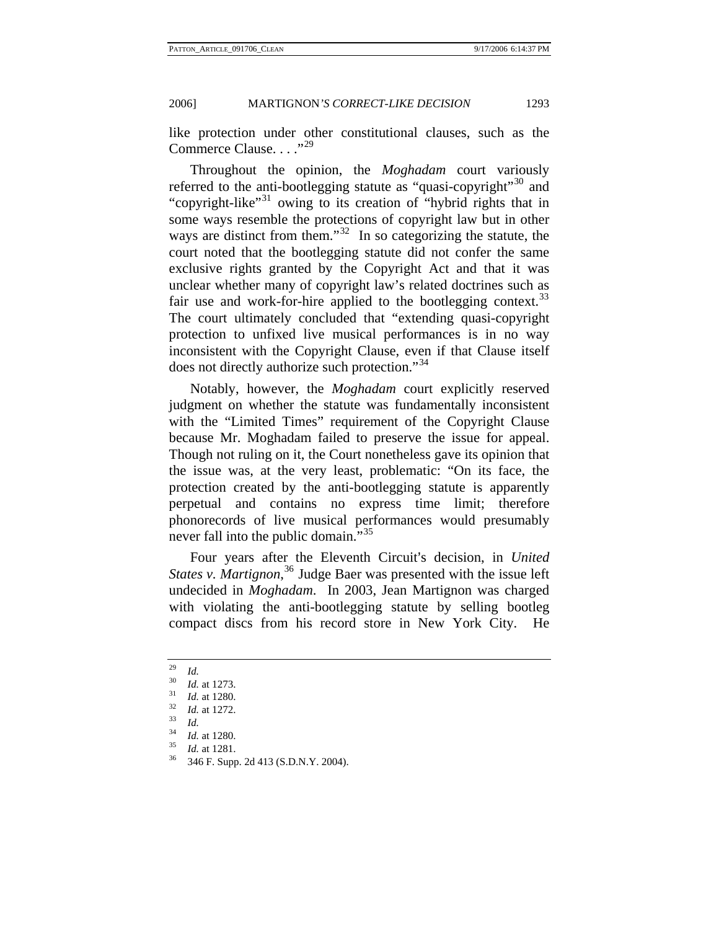like protection under other constitutional clauses, such as the Commerce Clause. . . . "<sup>[29](#page-7-0)</sup>

Throughout the opinion, the *Moghadam* court variously referred to the anti-bootlegging statute as "quasi-copyright"<sup>[30](#page-7-1)</sup> and "copyright-like"<sup>[31](#page-7-2)</sup> owing to its creation of "hybrid rights that in some ways resemble the protections of copyright law but in other ways are distinct from them."<sup>[32](#page-7-3)</sup> In so categorizing the statute, the court noted that the bootlegging statute did not confer the same exclusive rights granted by the Copyright Act and that it was unclear whether many of copyright law's related doctrines such as fair use and work-for-hire applied to the bootlegging context.<sup>[33](#page-7-4)</sup> The court ultimately concluded that "extending quasi-copyright protection to unfixed live musical performances is in no way inconsistent with the Copyright Clause, even if that Clause itself does not directly authorize such protection."<sup>[34](#page-7-5)</sup>

Notably, however, the *Moghadam* court explicitly reserved judgment on whether the statute was fundamentally inconsistent with the "Limited Times" requirement of the Copyright Clause because Mr. Moghadam failed to preserve the issue for appeal. Though not ruling on it, the Court nonetheless gave its opinion that the issue was, at the very least, problematic: "On its face, the protection created by the anti-bootlegging statute is apparently perpetual and contains no express time limit; therefore phonorecords of live musical performances would presumably never fall into the public domain."<sup>[35](#page-7-6)</sup>

Four years after the Eleventh Circuit's decision, in *United States v. Martignon*, [36](#page-7-7) Judge Baer was presented with the issue left undecided in *Moghadam*. In 2003, Jean Martignon was charged with violating the anti-bootlegging statute by selling bootleg compact discs from his record store in New York City. He

 $\frac{29}{30}$  *Id.* 

<span id="page-7-2"></span><span id="page-7-1"></span><span id="page-7-0"></span><sup>30</sup> *Id.* at 1273. 31 *Id.* at 1280. 32 *Id.* at 1272. 33 *Id.*

<span id="page-7-5"></span><span id="page-7-4"></span><span id="page-7-3"></span>

<span id="page-7-7"></span><span id="page-7-6"></span>

<sup>34</sup> *Id.* at 1280. 35 *Id.* at 1281. 36 346 F. Supp. 2d 413 (S.D.N.Y. 2004).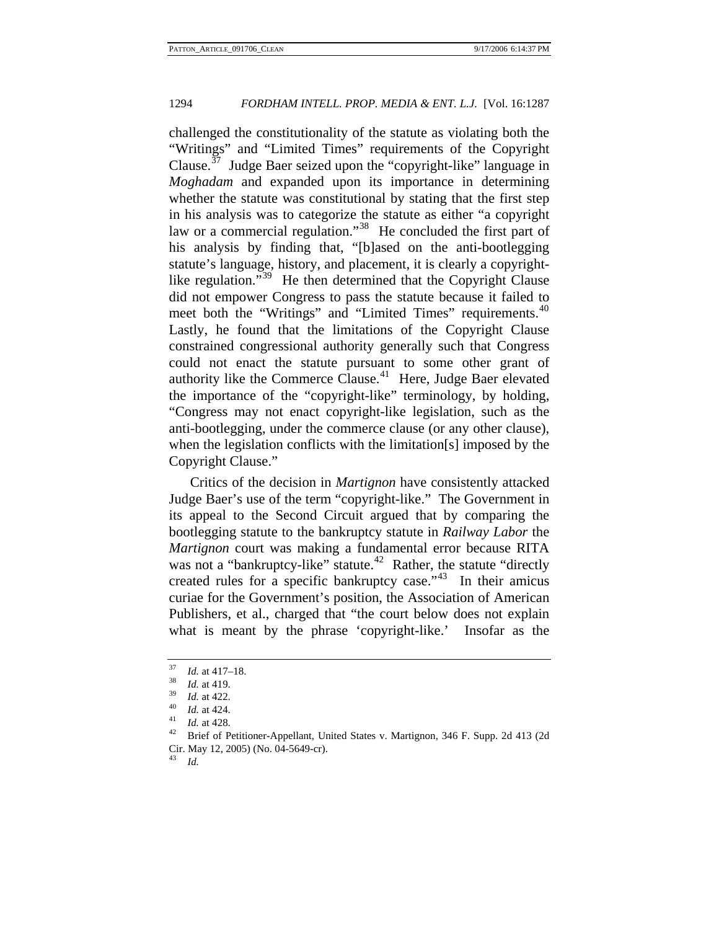challenged the constitutionality of the statute as violating both the "Writings" and "Limited Times" requirements of the Copyright Clause.<sup> $37$ </sup> Judge Baer seized upon the "copyright-like" language in *Moghadam* and expanded upon its importance in determining whether the statute was constitutional by stating that the first step in his analysis was to categorize the statute as either "a copyright law or a commercial regulation."<sup>[38](#page-8-1)</sup> He concluded the first part of his analysis by finding that, "[b]ased on the anti-bootlegging statute's language, history, and placement, it is clearly a copyright-like regulation."<sup>[39](#page-8-2)</sup> He then determined that the Copyright Clause did not empower Congress to pass the statute because it failed to meet both the "Writings" and "Limited Times" requirements.<sup>[40](#page-8-3)</sup> Lastly, he found that the limitations of the Copyright Clause constrained congressional authority generally such that Congress could not enact the statute pursuant to some other grant of authority like the Commerce Clause.<sup>[41](#page-8-4)</sup> Here, Judge Baer elevated the importance of the "copyright-like" terminology, by holding, "Congress may not enact copyright-like legislation, such as the anti-bootlegging, under the commerce clause (or any other clause), when the legislation conflicts with the limitation[s] imposed by the Copyright Clause."

Critics of the decision in *Martignon* have consistently attacked Judge Baer's use of the term "copyright-like." The Government in its appeal to the Second Circuit argued that by comparing the bootlegging statute to the bankruptcy statute in *Railway Labor* the *Martignon* court was making a fundamental error because RITA was not a "bankruptcy-like" statute.<sup>[42](#page-8-5)</sup> Rather, the statute "directly created rules for a specific bankruptcy case."[43](#page-8-6) In their amicus curiae for the Government's position, the Association of American Publishers, et al., charged that "the court below does not explain what is meant by the phrase 'copyright-like.' Insofar as the

<span id="page-8-6"></span><sup>43</sup> *Id.* 

<span id="page-8-0"></span>

<span id="page-8-1"></span>

<span id="page-8-2"></span>

<span id="page-8-3"></span>

<span id="page-8-5"></span><span id="page-8-4"></span>

<sup>&</sup>lt;sup>37</sup> *Id.* at 417–18.<br><sup>38</sup> *Id.* at 422.<br><sup>40</sup> *Id.* at 422.<br><sup>41</sup> *Id.* at 428.<br><sup>42</sup> Brief of Petitioner-Appellant, United States v. Martignon, 346 F. Supp. 2d 413 (2d<br><sup>42</sup> Brief of Petitioner-Appellant, United States v. Ma Cir. May 12, 2005) (No. 04-5649-cr).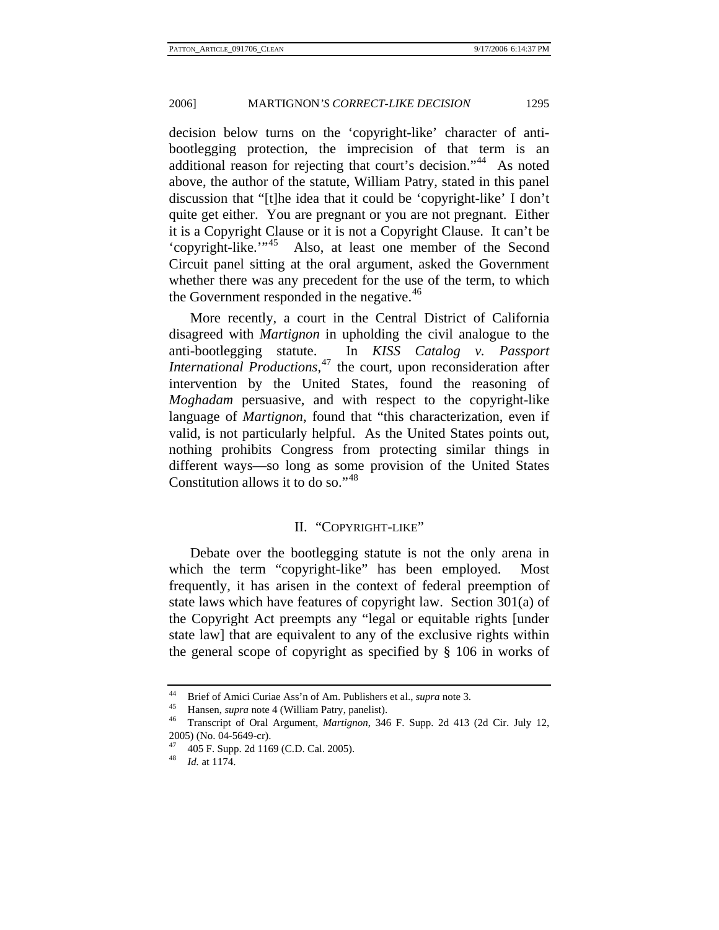decision below turns on the 'copyright-like' character of antibootlegging protection, the imprecision of that term is an additional reason for rejecting that court's decision."<sup>[44](#page-9-0)</sup> As noted above, the author of the statute, William Patry, stated in this panel discussion that "[t]he idea that it could be 'copyright-like' I don't quite get either. You are pregnant or you are not pregnant. Either it is a Copyright Clause or it is not a Copyright Clause. It can't be 'copyright-like.'"<sup>[45](#page-9-1)</sup> Also, at least one member of the Second Circuit panel sitting at the oral argument, asked the Government whether there was any precedent for the use of the term, to which the Government responded in the negative. $46$ 

More recently, a court in the Central District of California disagreed with *Martignon* in upholding the civil analogue to the anti-bootlegging statute. In *KISS Catalog v. Passport International Productions*, [47](#page-9-3) the court, upon reconsideration after intervention by the United States, found the reasoning of *Moghadam* persuasive, and with respect to the copyright-like language of *Martignon*, found that "this characterization, even if valid, is not particularly helpful. As the United States points out, nothing prohibits Congress from protecting similar things in different ways—so long as some provision of the United States Constitution allows it to do so."<sup>[48](#page-9-4)</sup>

#### II. "COPYRIGHT-LIKE"

Debate over the bootlegging statute is not the only arena in which the term "copyright-like" has been employed. Most frequently, it has arisen in the context of federal preemption of state laws which have features of copyright law. Section 301(a) of the Copyright Act preempts any "legal or equitable rights [under state law] that are equivalent to any of the exclusive rights within the general scope of copyright as specified by § 106 in works of

<span id="page-9-2"></span>

<span id="page-9-1"></span><span id="page-9-0"></span><sup>44</sup> Brief of Amici Curiae Ass'n of Am. Publishers et al., *supra* note 3. 45 Hansen, *supra* note 4 (William Patry, panelist). 46 Transcript of Oral Argument, *Martignon*, 346 F. Supp. 2d 413 (2d Cir. July 12, 2005) (No. 04-5649-cr).

<span id="page-9-4"></span><span id="page-9-3"></span> $^{47}$  405 F. Supp. 2d 1169 (C.D. Cal. 2005).

*Id.* at 1174.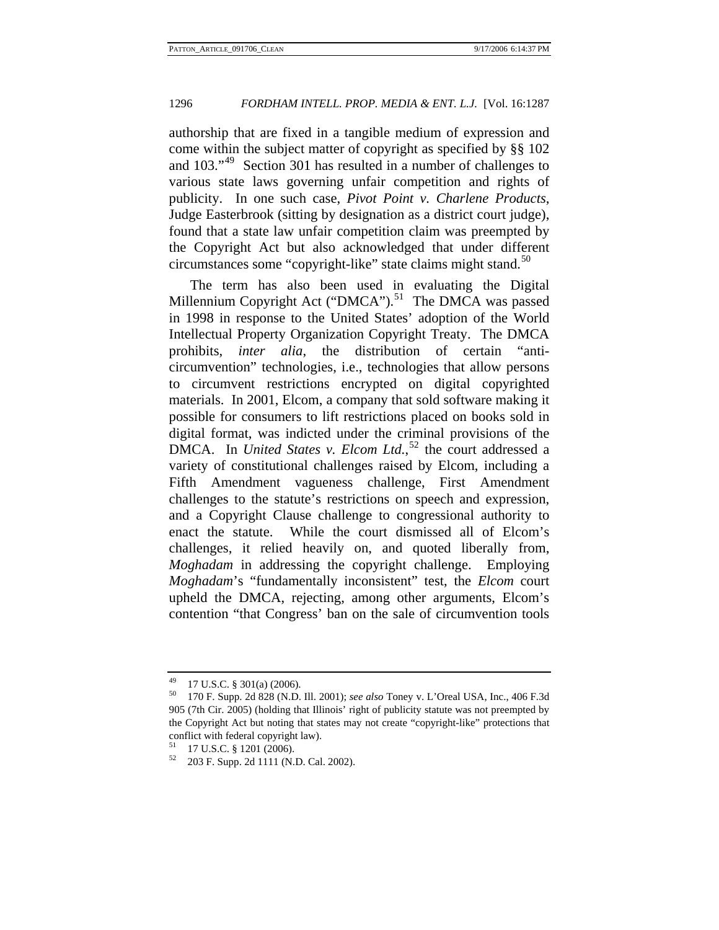authorship that are fixed in a tangible medium of expression and come within the subject matter of copyright as specified by §§ 102 and 103."[49](#page-10-0) Section 301 has resulted in a number of challenges to various state laws governing unfair competition and rights of publicity. In one such case, *Pivot Point v. Charlene Products*, Judge Easterbrook (sitting by designation as a district court judge), found that a state law unfair competition claim was preempted by the Copyright Act but also acknowledged that under different circumstances some "copyright-like" state claims might stand.<sup>[50](#page-10-1)</sup>

The term has also been used in evaluating the Digital Millennium Copyright Act ("DMCA").<sup>[51](#page-10-2)</sup> The DMCA was passed in 1998 in response to the United States' adoption of the World Intellectual Property Organization Copyright Treaty. The DMCA prohibits, *inter alia*, the distribution of certain "anticircumvention" technologies, i.e., technologies that allow persons to circumvent restrictions encrypted on digital copyrighted materials. In 2001, Elcom, a company that sold software making it possible for consumers to lift restrictions placed on books sold in digital format, was indicted under the criminal provisions of the DMCA. In *United States v. Elcom Ltd.*, [52](#page-10-3) the court addressed a variety of constitutional challenges raised by Elcom, including a Fifth Amendment vagueness challenge, First Amendment challenges to the statute's restrictions on speech and expression, and a Copyright Clause challenge to congressional authority to enact the statute. While the court dismissed all of Elcom's challenges, it relied heavily on, and quoted liberally from, *Moghadam* in addressing the copyright challenge. Employing *Moghadam*'s "fundamentally inconsistent" test, the *Elcom* court upheld the DMCA, rejecting, among other arguments, Elcom's contention "that Congress' ban on the sale of circumvention tools

<sup>&</sup>lt;sup>49</sup> 17 U.S.C. § 301(a) (2006).<br><sup>50</sup> 170 E. Supp. 2d 828 (N.D.

<span id="page-10-1"></span><span id="page-10-0"></span><sup>50 170</sup> F. Supp. 2d 828 (N.D. Ill. 2001); *see also* Toney v. L'Oreal USA, Inc., 406 F.3d 905 (7th Cir. 2005) (holding that Illinois' right of publicity statute was not preempted by the Copyright Act but noting that states may not create "copyright-like" protections that conflict with federal copyright law).

<span id="page-10-3"></span><span id="page-10-2"></span> $^{51}$  17 U.S.C. § 1201 (2006).<br> $^{52}$  202 E Supp. 2d 1111 (N)

<sup>52 203</sup> F. Supp. 2d 1111 (N.D. Cal. 2002).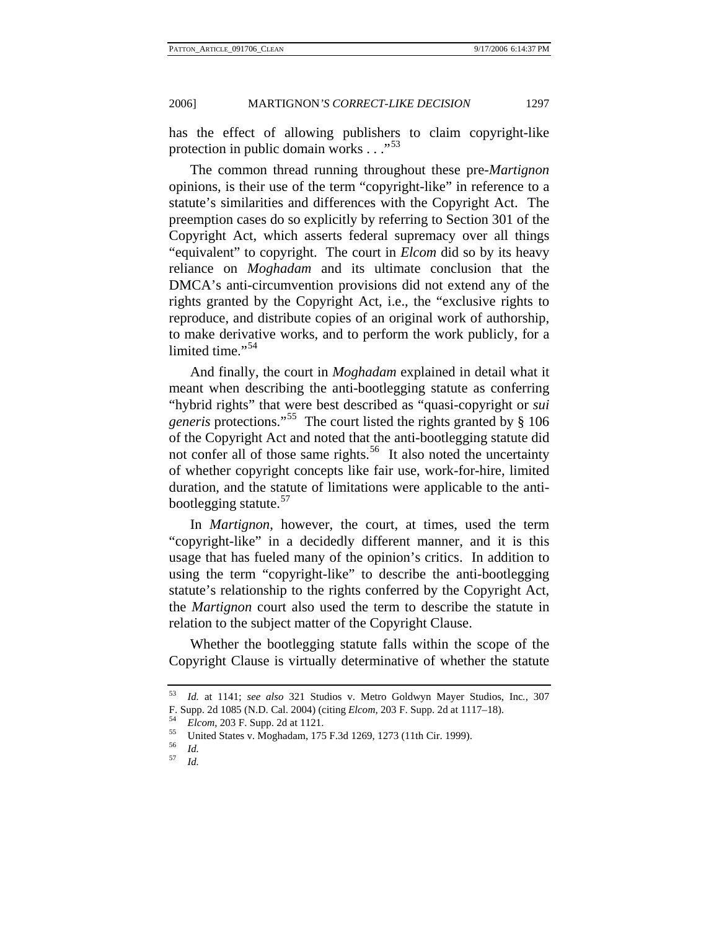has the effect of allowing publishers to claim copyright-like protection in public domain works  $\ldots$ ."<sup>[53](#page-11-0)</sup>

The common thread running throughout these pre-*Martignon* opinions, is their use of the term "copyright-like" in reference to a statute's similarities and differences with the Copyright Act. The preemption cases do so explicitly by referring to Section 301 of the Copyright Act, which asserts federal supremacy over all things "equivalent" to copyright. The court in *Elcom* did so by its heavy reliance on *Moghadam* and its ultimate conclusion that the DMCA's anti-circumvention provisions did not extend any of the rights granted by the Copyright Act, i.e., the "exclusive rights to reproduce, and distribute copies of an original work of authorship, to make derivative works, and to perform the work publicly, for a limited time."<sup>[54](#page-11-1)</sup>

And finally, the court in *Moghadam* explained in detail what it meant when describing the anti-bootlegging statute as conferring "hybrid rights" that were best described as "quasi-copyright or *sui generis* protections."[55](#page-11-2) The court listed the rights granted by § 106 of the Copyright Act and noted that the anti-bootlegging statute did not confer all of those same rights.<sup>[56](#page-11-3)</sup> It also noted the uncertainty of whether copyright concepts like fair use, work-for-hire, limited duration, and the statute of limitations were applicable to the anti-bootlegging statute.<sup>[57](#page-11-4)</sup>

In *Martignon*, however, the court, at times, used the term "copyright-like" in a decidedly different manner, and it is this usage that has fueled many of the opinion's critics. In addition to using the term "copyright-like" to describe the anti-bootlegging statute's relationship to the rights conferred by the Copyright Act, the *Martignon* court also used the term to describe the statute in relation to the subject matter of the Copyright Clause.

Whether the bootlegging statute falls within the scope of the Copyright Clause is virtually determinative of whether the statute

<span id="page-11-0"></span><sup>53</sup> *Id.* at 1141; *see also* 321 Studios v. Metro Goldwyn Mayer Studios, Inc*.*, 307

<span id="page-11-2"></span>

<span id="page-11-1"></span>F. Supp. 2d 1085 (N.D. Cal. 2004) (citing *Elcom*, 203 F. Supp. 2d at 1117–18). 54 *Elcom*, 203 F. Supp. 2d at 1121. 55 United States v. Moghadam, 175 F.3d 1269, 1273 (11th Cir. 1999). 56 *Id.*

<span id="page-11-4"></span><span id="page-11-3"></span><sup>57</sup> *Id.*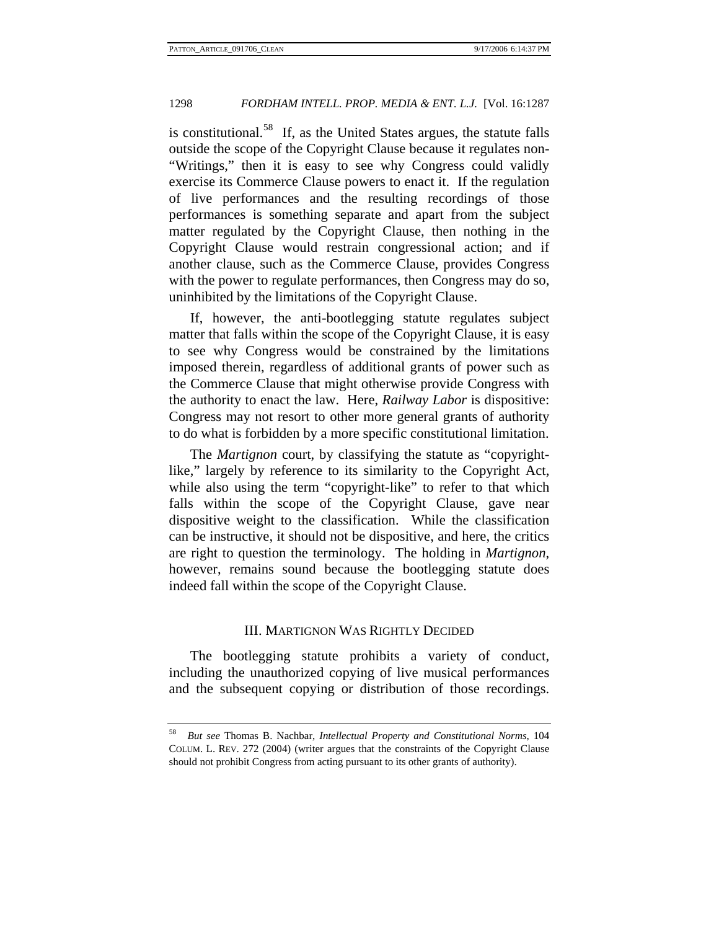is constitutional.<sup>[58](#page-12-0)</sup> If, as the United States argues, the statute falls outside the scope of the Copyright Clause because it regulates non- "Writings," then it is easy to see why Congress could validly exercise its Commerce Clause powers to enact it. If the regulation of live performances and the resulting recordings of those performances is something separate and apart from the subject matter regulated by the Copyright Clause, then nothing in the Copyright Clause would restrain congressional action; and if another clause, such as the Commerce Clause, provides Congress with the power to regulate performances, then Congress may do so, uninhibited by the limitations of the Copyright Clause.

If, however, the anti-bootlegging statute regulates subject matter that falls within the scope of the Copyright Clause, it is easy to see why Congress would be constrained by the limitations imposed therein, regardless of additional grants of power such as the Commerce Clause that might otherwise provide Congress with the authority to enact the law. Here, *Railway Labor* is dispositive: Congress may not resort to other more general grants of authority to do what is forbidden by a more specific constitutional limitation.

The *Martignon* court, by classifying the statute as "copyrightlike," largely by reference to its similarity to the Copyright Act, while also using the term "copyright-like" to refer to that which falls within the scope of the Copyright Clause, gave near dispositive weight to the classification. While the classification can be instructive, it should not be dispositive, and here, the critics are right to question the terminology. The holding in *Martignon*, however, remains sound because the bootlegging statute does indeed fall within the scope of the Copyright Clause.

#### III. MARTIGNON WAS RIGHTLY DECIDED

The bootlegging statute prohibits a variety of conduct, including the unauthorized copying of live musical performances and the subsequent copying or distribution of those recordings.

<span id="page-12-0"></span><sup>58</sup> *But see* Thomas B. Nachbar, *Intellectual Property and Constitutional Norms*, 104 COLUM. L. REV. 272 (2004) (writer argues that the constraints of the Copyright Clause should not prohibit Congress from acting pursuant to its other grants of authority).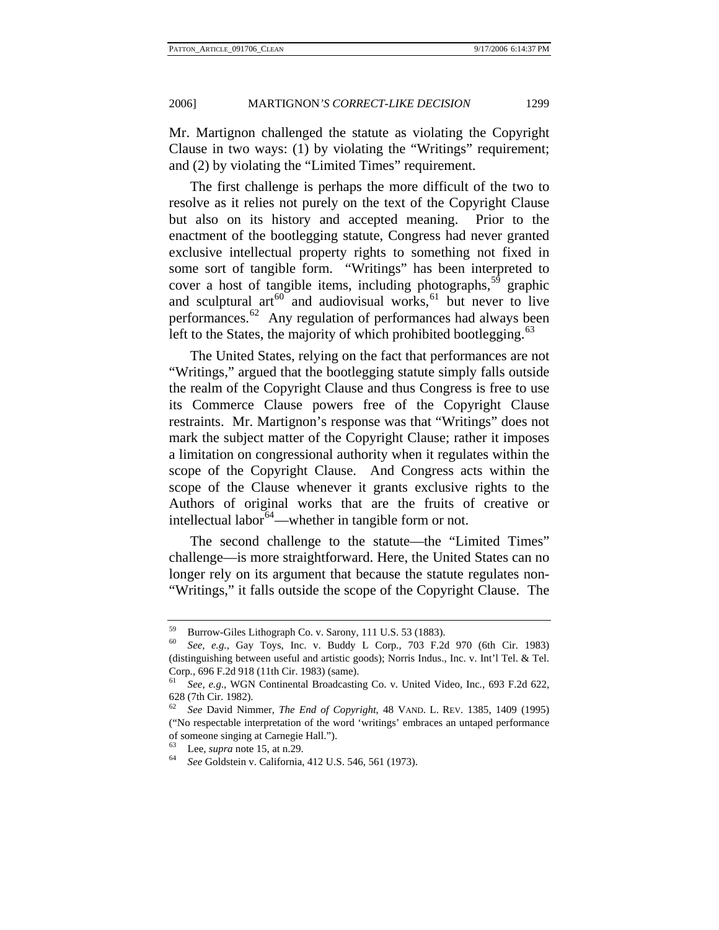Mr. Martignon challenged the statute as violating the Copyright Clause in two ways: (1) by violating the "Writings" requirement; and (2) by violating the "Limited Times" requirement.

The first challenge is perhaps the more difficult of the two to resolve as it relies not purely on the text of the Copyright Clause but also on its history and accepted meaning. Prior to the enactment of the bootlegging statute, Congress had never granted exclusive intellectual property rights to something not fixed in some sort of tangible form. "Writings" has been interpreted to cover a host of tangible items, including photographs,  $59$  graphic and sculptural art<sup>[60](#page-13-1)</sup> and audiovisual works,  $61$  but never to live performances. $62$  Any regulation of performances had always been left to the States, the majority of which prohibited bootlegging.<sup>[63](#page-13-4)</sup>

The United States, relying on the fact that performances are not "Writings," argued that the bootlegging statute simply falls outside the realm of the Copyright Clause and thus Congress is free to use its Commerce Clause powers free of the Copyright Clause restraints. Mr. Martignon's response was that "Writings" does not mark the subject matter of the Copyright Clause; rather it imposes a limitation on congressional authority when it regulates within the scope of the Copyright Clause. And Congress acts within the scope of the Clause whenever it grants exclusive rights to the Authors of original works that are the fruits of creative or intellectual labor $64$ —whether in tangible form or not.

The second challenge to the statute—the "Limited Times" challenge—is more straightforward. Here, the United States can no longer rely on its argument that because the statute regulates non- "Writings," it falls outside the scope of the Copyright Clause. The

<span id="page-13-0"></span><sup>&</sup>lt;sup>59</sup> Burrow-Giles Lithograph Co. v. Sarony, 111 U.S. 53 (1883).<br><sup>60</sup> See e.g. Gay Toys, Inc. v. Buddy J. Corp. 703 E.2e

<span id="page-13-1"></span><sup>60</sup> *See, e.g.*, Gay Toys, Inc. v. Buddy L Corp*.*, 703 F.2d 970 (6th Cir. 1983) (distinguishing between useful and artistic goods); Norris Indus., Inc. v. Int'l Tel. & Tel. Corp*.*, 696 F.2d 918 (11th Cir. 1983) (same). 61 *See, e.g*., WGN Continental Broadcasting Co. v. United Video, Inc*.*, 693 F.2d 622,

<span id="page-13-2"></span><sup>628 (7</sup>th Cir. 1982).

<span id="page-13-3"></span><sup>62</sup> *See* David Nimmer, *The End of Copyright*, 48 VAND. L. REV. 1385, 1409 (1995) ("No respectable interpretation of the word 'writings' embraces an untaped performance of someone singing at Carnegie Hall.").

<span id="page-13-5"></span><span id="page-13-4"></span><sup>63</sup> Lee, *supra* note 15, at n.29. 64 *See* Goldstein v. California, 412 U.S. 546, 561 (1973).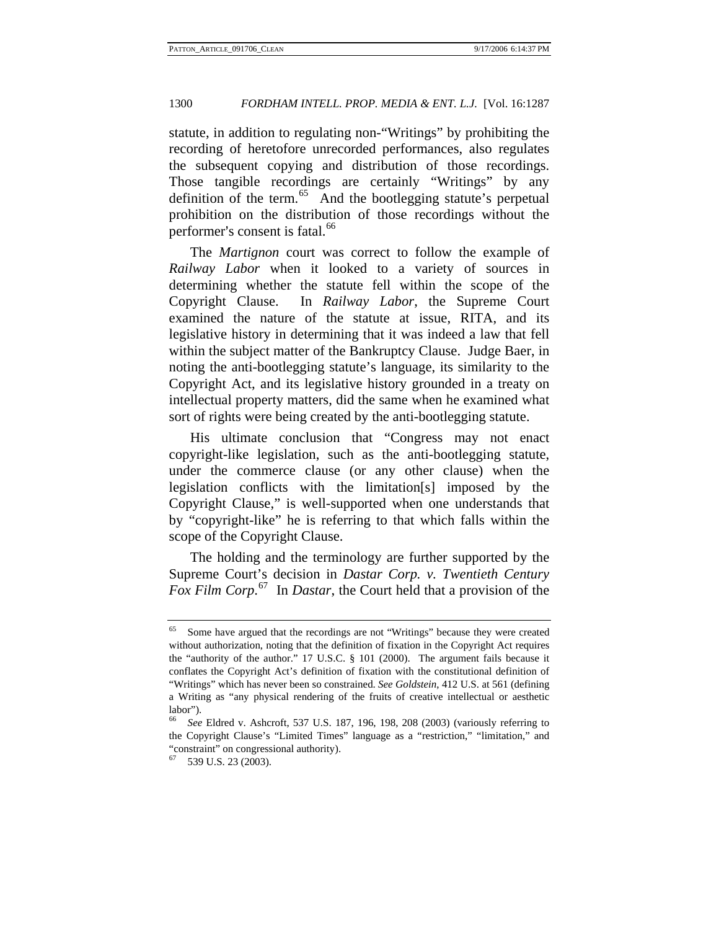statute, in addition to regulating non-"Writings" by prohibiting the recording of heretofore unrecorded performances, also regulates the subsequent copying and distribution of those recordings. Those tangible recordings are certainly "Writings" by any definition of the term. $65$  And the bootlegging statute's perpetual prohibition on the distribution of those recordings without the performer's consent is fatal.<sup>[66](#page-14-1)</sup>

The *Martignon* court was correct to follow the example of *Railway Labor* when it looked to a variety of sources in determining whether the statute fell within the scope of the Copyright Clause. In *Railway Labor*, the Supreme Court examined the nature of the statute at issue, RITA, and its legislative history in determining that it was indeed a law that fell within the subject matter of the Bankruptcy Clause. Judge Baer, in noting the anti-bootlegging statute's language, its similarity to the Copyright Act, and its legislative history grounded in a treaty on intellectual property matters, did the same when he examined what sort of rights were being created by the anti-bootlegging statute.

His ultimate conclusion that "Congress may not enact copyright-like legislation, such as the anti-bootlegging statute, under the commerce clause (or any other clause) when the legislation conflicts with the limitation[s] imposed by the Copyright Clause," is well-supported when one understands that by "copyright-like" he is referring to that which falls within the scope of the Copyright Clause.

The holding and the terminology are further supported by the Supreme Court's decision in *Dastar Corp. v. Twentieth Century*  Fox Film Corp.<sup>[67](#page-14-2)</sup> In *Dastar*, the Court held that a provision of the

<span id="page-14-0"></span><sup>65</sup> Some have argued that the recordings are not "Writings" because they were created without authorization, noting that the definition of fixation in the Copyright Act requires the "authority of the author." 17 U.S.C. § 101 (2000). The argument fails because it conflates the Copyright Act's definition of fixation with the constitutional definition of "Writings" which has never been so constrained. *See Goldstein*, 412 U.S. at 561 (defining a Writing as "any physical rendering of the fruits of creative intellectual or aesthetic labor").

<span id="page-14-2"></span><span id="page-14-1"></span><sup>66</sup> *See* Eldred v. Ashcroft, 537 U.S. 187, 196, 198, 208 (2003) (variously referring to the Copyright Clause's "Limited Times" language as a "restriction," "limitation," and "constraint" on congressional authority).

<sup>539</sup> U.S. 23 (2003).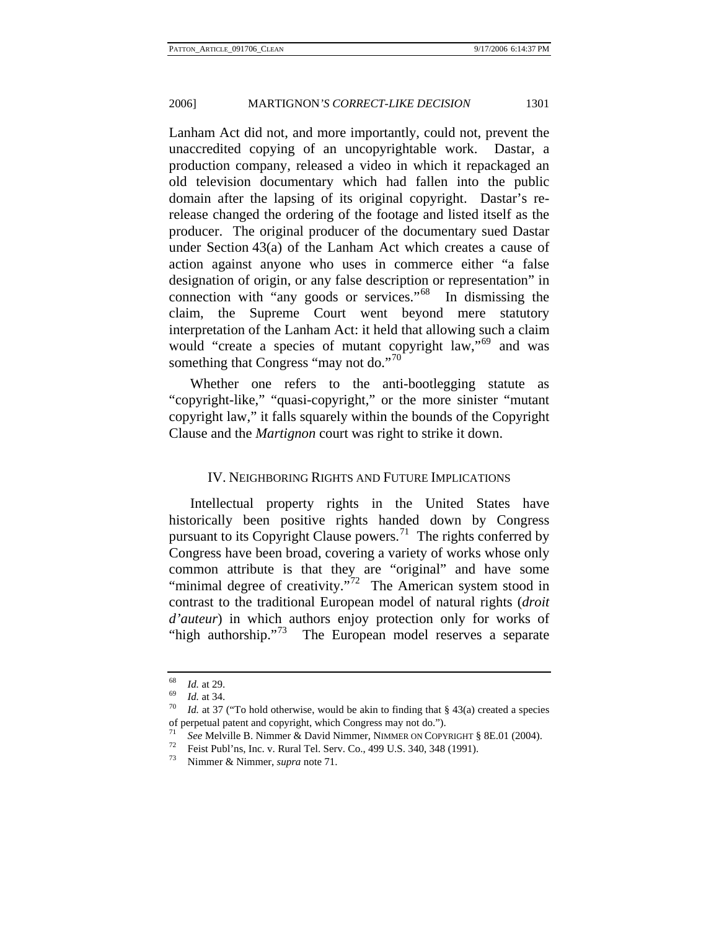Lanham Act did not, and more importantly, could not, prevent the unaccredited copying of an uncopyrightable work. Dastar, a production company, released a video in which it repackaged an old television documentary which had fallen into the public domain after the lapsing of its original copyright. Dastar's rerelease changed the ordering of the footage and listed itself as the producer. The original producer of the documentary sued Dastar under Section 43(a) of the Lanham Act which creates a cause of action against anyone who uses in commerce either "a false designation of origin, or any false description or representation" in connection with "any goods or services."<sup>[68](#page-15-0)</sup> In dismissing the claim, the Supreme Court went beyond mere statutory interpretation of the Lanham Act: it held that allowing such a claim would "create a species of mutant copyright law,"<sup>[69](#page-15-1)</sup> and was something that Congress "may not do."<sup>[70](#page-15-2)</sup>

Whether one refers to the anti-bootlegging statute as "copyright-like," "quasi-copyright," or the more sinister "mutant copyright law," it falls squarely within the bounds of the Copyright Clause and the *Martignon* court was right to strike it down.

#### IV. NEIGHBORING RIGHTS AND FUTURE IMPLICATIONS

Intellectual property rights in the United States have historically been positive rights handed down by Congress pursuant to its Copyright Clause powers.<sup>[71](#page-15-3)</sup> The rights conferred by Congress have been broad, covering a variety of works whose only common attribute is that they are "original" and have some "minimal degree of creativity."<sup>[72](#page-15-4)</sup> The American system stood in contrast to the traditional European model of natural rights (*droit d'auteur*) in which authors enjoy protection only for works of "high authorship."<sup>[73](#page-15-5)</sup> The European model reserves a separate

<span id="page-15-2"></span><span id="page-15-1"></span>

<span id="page-15-0"></span><sup>68</sup> *Id.* at 29. 69 *Id.* at 34. 70 *Id.* at 37 ("To hold otherwise, would be akin to finding that § 43(a) created a species % of perpetual patent and copyright, which Congress may not do.").<br>
<sup>71</sup> See Melville B. Nimmer & David Nimmer, NIMMER ON COPYRIGHT § 8E.01 (2004).<br>
<sup>72</sup> Feist Publ'ns, Inc. v. Rural Tel. Serv. Co., 499 U.S. 340, 348 (199

<span id="page-15-5"></span><span id="page-15-4"></span><span id="page-15-3"></span>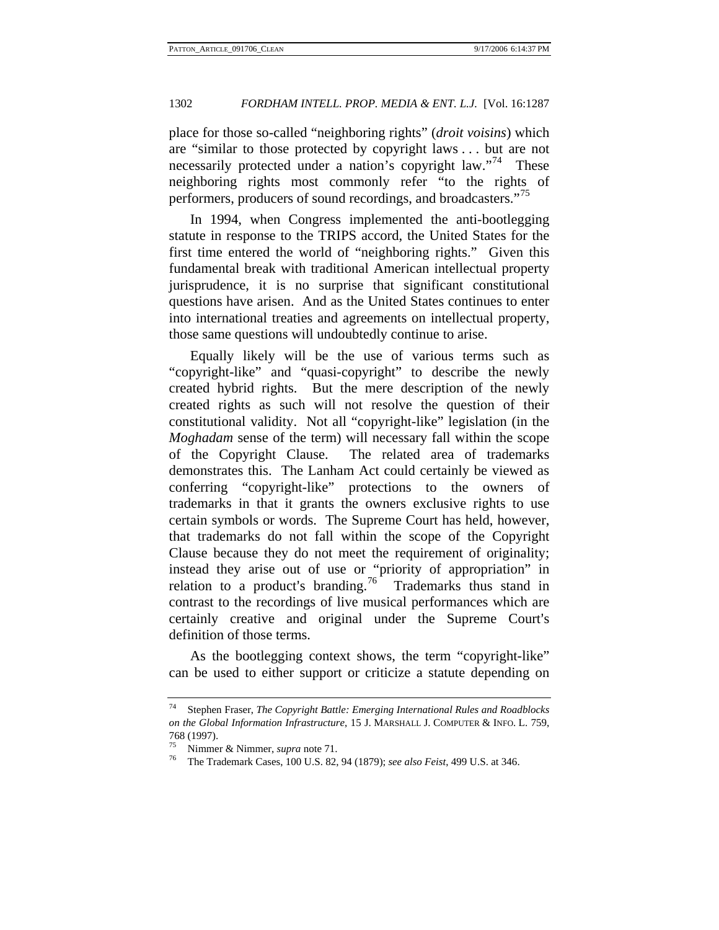place for those so-called "neighboring rights" (*droit voisins*) which are "similar to those protected by copyright laws . . . but are not necessarily protected under a nation's copyright law."<sup>[74](#page-16-0)</sup> These neighboring rights most commonly refer "to the rights of performers, producers of sound recordings, and broadcasters."<sup>[75](#page-16-1)</sup>

In 1994, when Congress implemented the anti-bootlegging statute in response to the TRIPS accord, the United States for the first time entered the world of "neighboring rights." Given this fundamental break with traditional American intellectual property jurisprudence, it is no surprise that significant constitutional questions have arisen. And as the United States continues to enter into international treaties and agreements on intellectual property, those same questions will undoubtedly continue to arise.

Equally likely will be the use of various terms such as "copyright-like" and "quasi-copyright" to describe the newly created hybrid rights. But the mere description of the newly created rights as such will not resolve the question of their constitutional validity. Not all "copyright-like" legislation (in the *Moghadam* sense of the term) will necessary fall within the scope of the Copyright Clause. The related area of trademarks demonstrates this. The Lanham Act could certainly be viewed as conferring "copyright-like" protections to the owners of trademarks in that it grants the owners exclusive rights to use certain symbols or words. The Supreme Court has held, however, that trademarks do not fall within the scope of the Copyright Clause because they do not meet the requirement of originality; instead they arise out of use or "priority of appropriation" in relation to a product's branding.<sup>[76](#page-16-2)</sup> Trademarks thus stand in contrast to the recordings of live musical performances which are certainly creative and original under the Supreme Court's definition of those terms.

As the bootlegging context shows, the term "copyright-like" can be used to either support or criticize a statute depending on

<span id="page-16-0"></span><sup>74</sup> Stephen Fraser, *The Copyright Battle: Emerging International Rules and Roadblocks on the Global Information Infrastructure*, 15 J. MARSHALL J. COMPUTER & INFO. L. 759, 768 (1997).

<span id="page-16-2"></span><span id="page-16-1"></span><sup>75</sup> Nimmer & Nimmer, *supra* note 71. 76 The Trademark Cases, 100 U.S. 82, 94 (1879); *see also Feist*, 499 U.S. at 346.